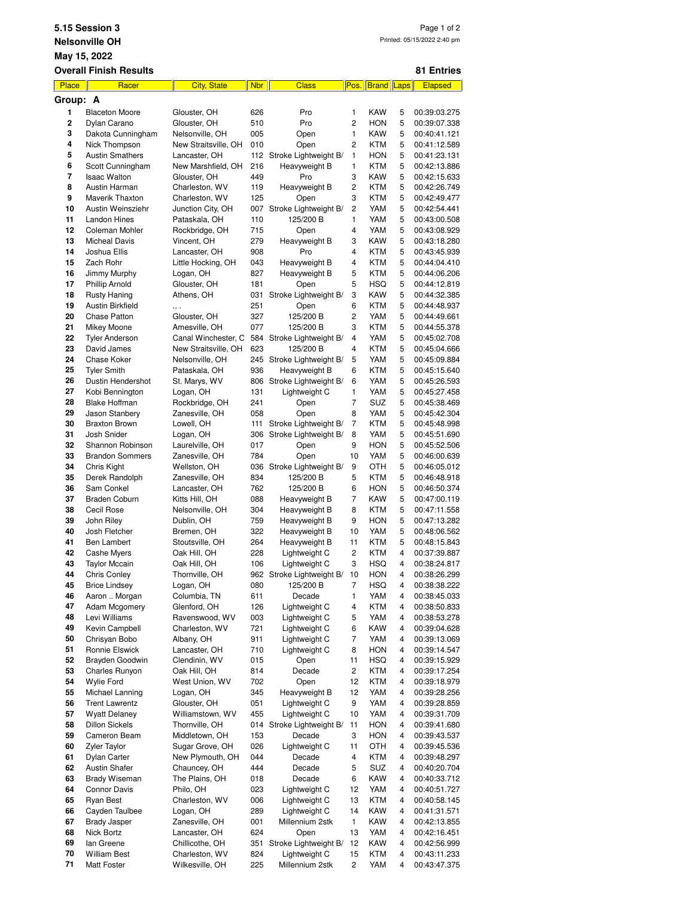|                                                      | 5.15 Session 3                          |                                    |            |                                                |                         |                          |        | Page 1 of 2                  |  |  |  |  |
|------------------------------------------------------|-----------------------------------------|------------------------------------|------------|------------------------------------------------|-------------------------|--------------------------|--------|------------------------------|--|--|--|--|
| Printed: 05/15/2022 2:40 pm<br><b>Nelsonville OH</b> |                                         |                                    |            |                                                |                         |                          |        |                              |  |  |  |  |
| May 15, 2022                                         |                                         |                                    |            |                                                |                         |                          |        |                              |  |  |  |  |
|                                                      | <b>Overall Finish Results</b>           |                                    |            |                                                |                         |                          |        | 81 Entries                   |  |  |  |  |
| Place                                                | Racer                                   | <b>City, State</b>                 | <b>Nbr</b> | <b>Class</b>                                   |                         | Pos. Brand Laps          |        | Elapsed                      |  |  |  |  |
| Group: A<br>1                                        | <b>Blaceton Moore</b>                   | Glouster, OH                       | 626        | Pro                                            | 1                       | KAW                      | 5      | 00:39:03.275                 |  |  |  |  |
| $\overline{\mathbf{c}}$                              | Dylan Carano                            | Glouster, OH                       | 510        | Pro                                            | 2                       | <b>HON</b>               | 5      | 00:39:07.338                 |  |  |  |  |
| 3                                                    | Dakota Cunningham                       | Nelsonville, OH                    | 005        | Open                                           | 1                       | <b>KAW</b>               | 5      | 00:40:41.121                 |  |  |  |  |
| 4                                                    | Nick Thompson                           | New Straitsville, OH               | 010        | Open                                           | 2                       | <b>KTM</b>               | 5      | 00:41:12.589                 |  |  |  |  |
| 5<br>6                                               | <b>Austin Smathers</b>                  | Lancaster, OH                      | 112        | Stroke Lightweight B/                          | 1<br>$\mathbf{1}$       | <b>HON</b>               | 5      | 00:41:23.131                 |  |  |  |  |
| 7                                                    | Scott Cunningham<br><b>Isaac Walton</b> | New Marshfield, OH<br>Glouster, OH | 216<br>449 | Heavyweight B<br>Pro                           | 3                       | <b>KTM</b><br><b>KAW</b> | 5<br>5 | 00:42:13.886<br>00:42:15.633 |  |  |  |  |
| 8                                                    | Austin Harman                           | Charleston, WV                     | 119        | Heavyweight B                                  | 2                       | KTM                      | 5      | 00:42:26.749                 |  |  |  |  |
| 9                                                    | Maverik Thaxton                         | Charleston, WV                     | 125        | Open                                           | 3                       | KTM                      | 5      | 00:42:49.477                 |  |  |  |  |
| 10                                                   | Austin Weinsziehr                       | Junction City, OH                  | 007        | Stroke Lightweight B/                          | 2                       | YAM                      | 5      | 00:42:54.441                 |  |  |  |  |
| 11                                                   | <b>Landon Hines</b>                     | Pataskala, OH                      | 110        | 125/200 B                                      | $\mathbf{1}$            | YAM                      | 5      | 00:43:00.508                 |  |  |  |  |
| 12<br>13                                             | Coleman Mohler<br><b>Micheal Davis</b>  | Rockbridge, OH<br>Vincent, OH      | 715<br>279 | Open<br>Heavyweight B                          | 4<br>3                  | YAM<br>KAW               | 5<br>5 | 00:43:08.929<br>00:43:18.280 |  |  |  |  |
| 14                                                   | Joshua Ellis                            | Lancaster, OH                      | 908        | Pro                                            | 4                       | <b>KTM</b>               | 5      | 00:43:45.939                 |  |  |  |  |
| 15                                                   | Zach Rohr                               | Little Hocking, OH                 | 043        | Heavyweight B                                  | 4                       | KTM                      | 5      | 00:44:04.410                 |  |  |  |  |
| 16                                                   | Jimmy Murphy                            | Logan, OH                          | 827        | Heavyweight B                                  | 5                       | <b>KTM</b>               | 5      | 00:44:06.206                 |  |  |  |  |
| 17                                                   | Phillip Arnold                          | Glouster, OH                       | 181        | Open                                           | 5<br>3                  | HSQ                      | 5      | 00:44:12.819                 |  |  |  |  |
| 18<br>19                                             | <b>Rusty Haning</b><br>Austin Birkfield | Athens, OH                         | 031<br>251 | Stroke Lightweight B/<br>Open                  | 6                       | <b>KAW</b><br><b>KTM</b> | 5<br>5 | 00:44:32.385<br>00:44:48.937 |  |  |  |  |
| 20                                                   | Chase Patton                            | ٠, ٠<br>Glouster, OH               | 327        | 125/200 B                                      | 2                       | YAM                      | 5      | 00:44:49.661                 |  |  |  |  |
| 21                                                   | Mikey Moone                             | Amesville, OH                      | 077        | 125/200 B                                      | 3                       | <b>KTM</b>               | 5      | 00:44:55.378                 |  |  |  |  |
| 22                                                   | <b>Tyler Anderson</b>                   | Canal Winchester, O                | 584        | Stroke Lightweight B/                          | $\overline{\mathbf{4}}$ | YAM                      | 5      | 00:45:02.708                 |  |  |  |  |
| 23                                                   | David James                             | New Straitsville, OH               | 623        | 125/200 B                                      | 4                       | <b>KTM</b>               | 5      | 00:45:04.666                 |  |  |  |  |
| 24<br>25                                             | Chase Koker<br><b>Tyler Smith</b>       | Nelsonville, OH<br>Pataskala, OH   | 245<br>936 | Stroke Lightweight B/<br>Heavyweight B         | 5<br>6                  | YAM<br>KTM               | 5<br>5 | 00:45:09.884<br>00:45:15.640 |  |  |  |  |
| 26                                                   | Dustin Hendershot                       | St. Marys, WV                      | 806        | Stroke Lightweight B/                          | 6                       | YAM                      | 5      | 00:45:26.593                 |  |  |  |  |
| 27                                                   | Kobi Bennington                         | Logan, OH                          | 131        | Lightweight C                                  | $\mathbf{1}$            | YAM                      | 5      | 00:45:27.458                 |  |  |  |  |
| 28                                                   | <b>Blake Hoffman</b>                    | Rockbridge, OH                     | 241        | Open                                           | 7                       | SUZ                      | 5      | 00:45:38.469                 |  |  |  |  |
| 29                                                   | Jason Stanbery                          | Zanesville, OH                     | 058        | Open                                           | 8                       | YAM                      | 5      | 00:45:42.304                 |  |  |  |  |
| 30<br>31                                             | <b>Braxton Brown</b><br>Josh Snider     | Lowell, OH<br>Logan, OH            | 111<br>306 | Stroke Lightweight B/<br>Stroke Lightweight B/ | $\overline{7}$<br>8     | <b>KTM</b><br>YAM        | 5<br>5 | 00:45:48.998<br>00:45:51.690 |  |  |  |  |
| 32                                                   | Shannon Robinson                        | Laurelville, OH                    | 017        | Open                                           | 9                       | <b>HON</b>               | 5      | 00:45:52.506                 |  |  |  |  |
| 33                                                   | <b>Brandon Sommers</b>                  | Zanesville, OH                     | 784        | Open                                           | 10                      | YAM                      | 5      | 00:46:00.639                 |  |  |  |  |
| 34                                                   | Chris Kight                             | Wellston, OH                       | 036        | Stroke Lightweight B/                          | 9                       | OTH                      | 5      | 00:46:05.012                 |  |  |  |  |
| 35                                                   | Derek Randolph                          | Zanesville, OH                     | 834        | 125/200 B                                      | 5                       | <b>KTM</b>               | 5      | 00:46:48.918                 |  |  |  |  |
| 36<br>37                                             | Sam Conkel<br><b>Braden Coburn</b>      | Lancaster, OH<br>Kitts Hill, OH    | 762<br>088 | 125/200 B<br>Heavyweight B                     | 6<br>$\overline{7}$     | <b>HON</b><br>KAW        | 5<br>5 | 00:46:50.374<br>00:47:00.119 |  |  |  |  |
| 38                                                   | Cecil Rose                              | Nelsonville, OH                    | 304        | Heavyweight B                                  | 8                       | <b>KTM</b>               | 5      | 00:47:11.558                 |  |  |  |  |
| 39                                                   | John Riley                              | Dublin, OH                         | 759        | Heavyweight B                                  | 9                       | <b>HON</b>               | 5      | 00:47:13.282                 |  |  |  |  |
| 40                                                   | Josh Fletcher                           | Bremen, OH                         | 322        | Heavyweight B                                  | 10                      | YAM                      | 5      | 00:48:06.562                 |  |  |  |  |
| 41                                                   | Ben Lambert<br>Cashe Myers              | Stoutsville, OH                    | 264        | Heavyweight B<br>Lightweight C                 | 11                      | KTM                      | 5      | 00:48:15.843                 |  |  |  |  |
| 42<br>43                                             | <b>Taylor Mccain</b>                    | Oak Hill, OH<br>Oak Hill, OH       | 228<br>106 | Lightweight C                                  | 2<br>3                  | KTM<br>HSQ               | 4<br>4 | 00:37:39.887<br>00:38:24.817 |  |  |  |  |
| 44                                                   | Chris Conley                            | Thornville, OH                     | 962        | Stroke Lightweight B/                          | 10                      | <b>HON</b>               | 4      | 00:38:26.299                 |  |  |  |  |
| 45                                                   | <b>Brice Lindsey</b>                    | Logan, OH                          | 080        | 125/200 B                                      | 7                       | HSQ                      | 4      | 00:38:38.222                 |  |  |  |  |
| 46                                                   | Aaron  Morgan                           | Columbia, TN                       | 611        | Decade                                         | 1                       | YAM                      | 4      | 00:38:45.033                 |  |  |  |  |
| 47<br>48                                             | Adam Mcgomery<br>Levi Williams          | Glenford, OH<br>Ravenswood, WV     | 126<br>003 | Lightweight C<br>Lightweight C                 | 4<br>5                  | <b>KTM</b><br>YAM        | 4<br>4 | 00:38:50.833<br>00:38:53.278 |  |  |  |  |
| 49                                                   | Kevin Campbell                          | Charleston, WV                     | 721        | Lightweight C                                  | 6                       | <b>KAW</b>               | 4      | 00:39:04.628                 |  |  |  |  |
| 50                                                   | Chrisyan Bobo                           | Albany, OH                         | 911        | Lightweight C                                  | 7                       | YAM                      | 4      | 00:39:13.069                 |  |  |  |  |
| 51                                                   | Ronnie Elswick                          | Lancaster, OH                      | 710        | Lightweight C                                  | 8                       | <b>HON</b>               | 4      | 00:39:14.547                 |  |  |  |  |
| 52                                                   | Brayden Goodwin                         | Clendinin, WV                      | 015        | Open                                           | 11                      | <b>HSQ</b>               | 4      | 00:39:15.929                 |  |  |  |  |
| 53<br>54                                             | Charles Runyon<br><b>Wylie Ford</b>     | Oak Hill, OH<br>West Union, WV     | 814<br>702 | Decade<br>Open                                 | 2<br>12                 | <b>KTM</b><br><b>KTM</b> | 4<br>4 | 00:39:17.254<br>00:39:18.979 |  |  |  |  |
| 55                                                   | Michael Lanning                         | Logan, OH                          | 345        | Heavyweight B                                  | 12                      | YAM                      | 4      | 00:39:28.256                 |  |  |  |  |
| 56                                                   | <b>Trent Lawrentz</b>                   | Glouster, OH                       | 051        | Lightweight C                                  | 9                       | YAM                      | 4      | 00:39:28.859                 |  |  |  |  |
| 57                                                   | <b>Wyatt Delaney</b>                    | Williamstown, WV                   | 455        | Lightweight C                                  | 10                      | YAM                      | 4      | 00:39:31.709                 |  |  |  |  |
| 58                                                   | <b>Dillon Sickels</b>                   | Thornville, OH                     | 014        | Stroke Lightweight B/                          | 11                      | <b>HON</b>               | 4      | 00:39:41.680                 |  |  |  |  |
| 59<br>60                                             | Cameron Beam<br>Zyler Taylor            | Middletown, OH<br>Sugar Grove, OH  | 153<br>026 | Decade<br>Lightweight C                        | 3<br>11                 | <b>HON</b><br>OTH        | 4<br>4 | 00:39:43.537<br>00:39:45.536 |  |  |  |  |
| 61                                                   | Dylan Carter                            | New Plymouth, OH                   | 044        | Decade                                         | 4                       | <b>KTM</b>               | 4      | 00:39:48.297                 |  |  |  |  |
| 62                                                   | <b>Austin Shafer</b>                    | Chauncey, OH                       | 444        | Decade                                         | 5                       | SUZ                      | 4      | 00:40:20.704                 |  |  |  |  |
| 63                                                   | Brady Wiseman                           | The Plains, OH                     | 018        | Decade                                         | 6                       | KAW                      | 4      | 00:40:33.712                 |  |  |  |  |
| 64                                                   | <b>Connor Davis</b>                     | Philo, OH                          | 023        | Lightweight C                                  | 12                      | YAM                      | 4      | 00:40:51.727                 |  |  |  |  |
| 65<br>66                                             | <b>Ryan Best</b><br>Cayden Taulbee      | Charleston, WV<br>Logan, OH        | 006<br>289 | Lightweight C<br>Lightweight C                 | 13<br>14                | <b>KTM</b><br><b>KAW</b> | 4<br>4 | 00:40:58.145<br>00:41:31.571 |  |  |  |  |
| 67                                                   | <b>Brady Jasper</b>                     | Zanesville, OH                     | 001        | Millennium 2stk                                | 1                       | <b>KAW</b>               | 4      | 00:42:13.855                 |  |  |  |  |
| 68                                                   | Nick Bortz                              | Lancaster, OH                      | 624        | Open                                           | 13                      | YAM                      | 4      | 00:42:16.451                 |  |  |  |  |
| 69                                                   | lan Greene                              | Chillicothe, OH                    | 351        | Stroke Lightweight B/                          | 12                      | KAW                      | 4      | 00:42:56.999                 |  |  |  |  |
| 70                                                   | William Best                            | Charleston, WV                     | 824        | Lightweight C                                  | 15                      | KTM                      | 4      | 00:43:11.233                 |  |  |  |  |
| 71                                                   | Matt Foster                             | Wilkesville, OH                    | 225        | Millennium 2stk                                | 2                       | YAM                      | 4      | 00:43:47.375                 |  |  |  |  |